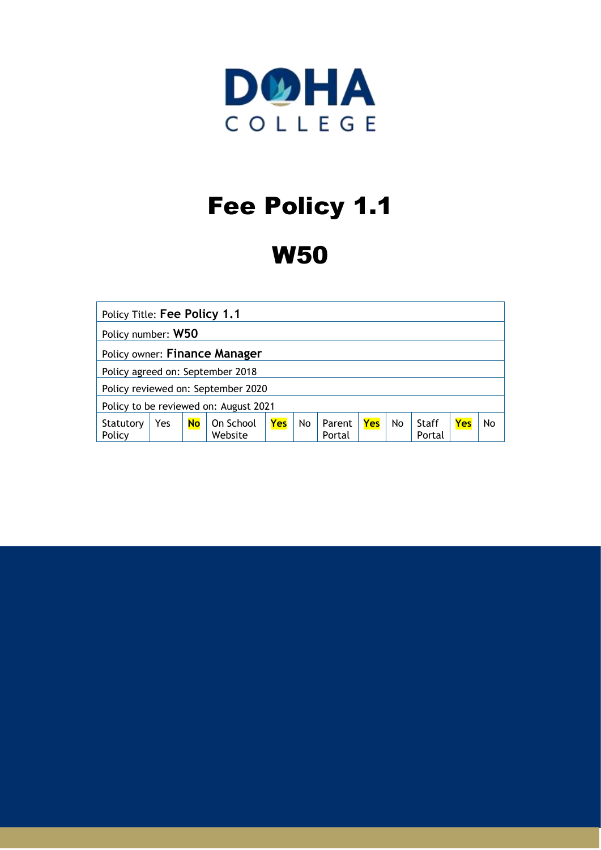

# Fee Policy 1.1

# W50

| Policy Title: Fee Policy 1.1          |     |           |                      |     |    |                  |     |    |                 |            |    |
|---------------------------------------|-----|-----------|----------------------|-----|----|------------------|-----|----|-----------------|------------|----|
| Policy number: W50                    |     |           |                      |     |    |                  |     |    |                 |            |    |
| Policy owner: Finance Manager         |     |           |                      |     |    |                  |     |    |                 |            |    |
| Policy agreed on: September 2018      |     |           |                      |     |    |                  |     |    |                 |            |    |
| Policy reviewed on: September 2020    |     |           |                      |     |    |                  |     |    |                 |            |    |
| Policy to be reviewed on: August 2021 |     |           |                      |     |    |                  |     |    |                 |            |    |
| Statutory<br>Policy                   | Yes | <b>No</b> | On School<br>Website | Yes | No | Parent<br>Portal | Yes | No | Staff<br>Portal | <b>Yes</b> | No |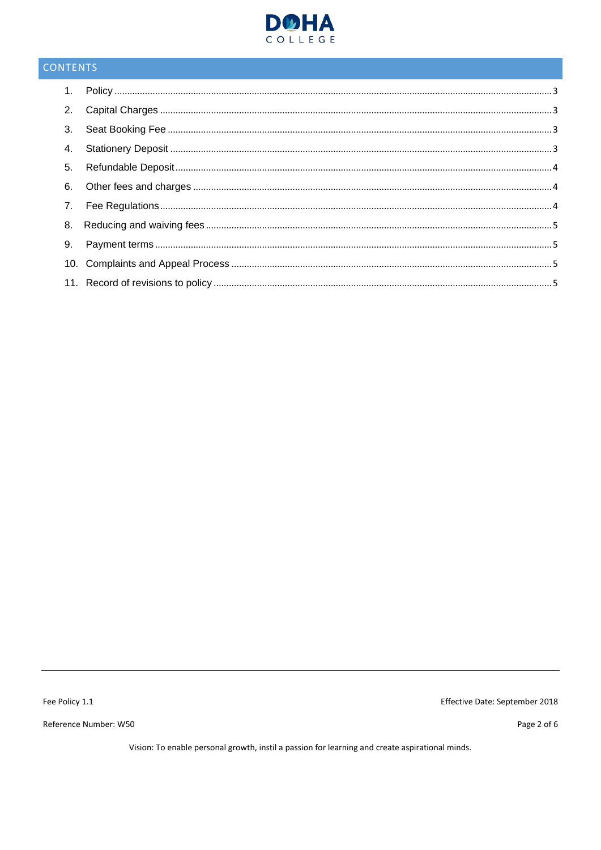

# CONTENTS

Fee Policy 1.1

Reference Number: W50

Effective Date: September 2018

Page 2 of 6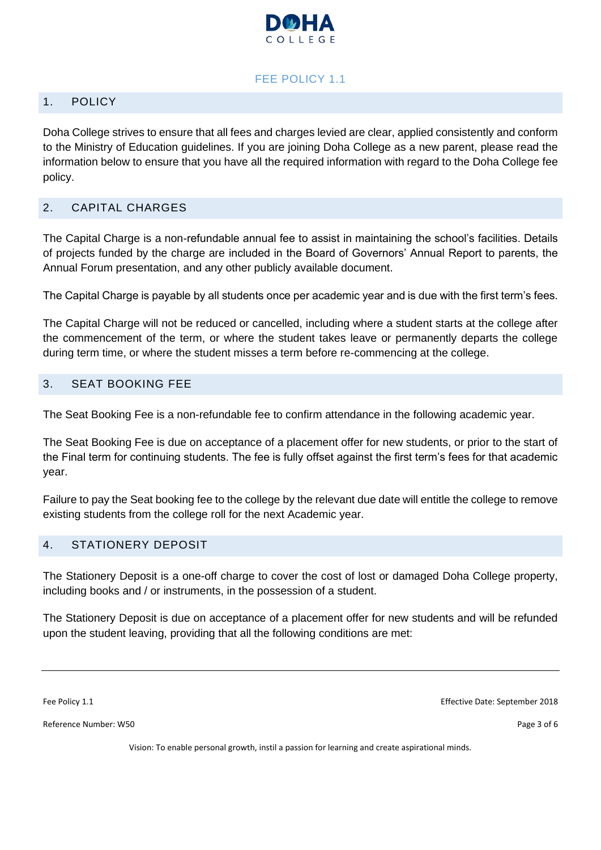

#### FEE POLICY 1.1

#### <span id="page-2-0"></span>1. POLICY

Doha College strives to ensure that all fees and charges levied are clear, applied consistently and conform to the Ministry of Education guidelines. If you are joining Doha College as a new parent, please read the information below to ensure that you have all the required information with regard to the Doha College fee policy.

#### <span id="page-2-1"></span>2. CAPITAL CHARGES

The Capital Charge is a non-refundable annual fee to assist in maintaining the school's facilities. Details of projects funded by the charge are included in the Board of Governors' Annual Report to parents, the Annual Forum presentation, and any other publicly available document.

The Capital Charge is payable by all students once per academic year and is due with the first term's fees.

The Capital Charge will not be reduced or cancelled, including where a student starts at the college after the commencement of the term, or where the student takes leave or permanently departs the college during term time, or where the student misses a term before re-commencing at the college.

#### <span id="page-2-2"></span>3. SEAT BOOKING FEE

The Seat Booking Fee is a non-refundable fee to confirm attendance in the following academic year.

The Seat Booking Fee is due on acceptance of a placement offer for new students, or prior to the start of the Final term for continuing students. The fee is fully offset against the first term's fees for that academic year.

Failure to pay the Seat booking fee to the college by the relevant due date will entitle the college to remove existing students from the college roll for the next Academic year.

#### <span id="page-2-3"></span>4. STATIONERY DEPOSIT

The Stationery Deposit is a one-off charge to cover the cost of lost or damaged Doha College property, including books and / or instruments, in the possession of a student.

The Stationery Deposit is due on acceptance of a placement offer for new students and will be refunded upon the student leaving, providing that all the following conditions are met:

Reference Number: W50 Page 3 of 6

Fee Policy 1.1 Effective Date: September 2018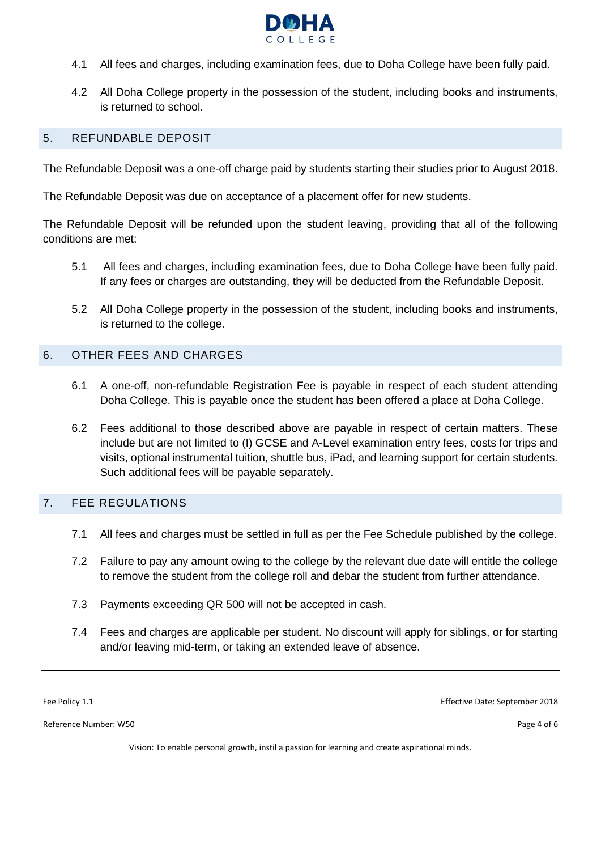

- 4.1 All fees and charges, including examination fees, due to Doha College have been fully paid.
- 4.2 All Doha College property in the possession of the student, including books and instruments, is returned to school.

#### <span id="page-3-0"></span>5. REFUNDABLE DEPOSIT

The Refundable Deposit was a one-off charge paid by students starting their studies prior to August 2018.

The Refundable Deposit was due on acceptance of a placement offer for new students.

The Refundable Deposit will be refunded upon the student leaving, providing that all of the following conditions are met:

- 5.1 All fees and charges, including examination fees, due to Doha College have been fully paid. If any fees or charges are outstanding, they will be deducted from the Refundable Deposit.
- 5.2 All Doha College property in the possession of the student, including books and instruments, is returned to the college.

#### <span id="page-3-1"></span>6. OTHER FEES AND CHARGES

- 6.1 A one-off, non-refundable Registration Fee is payable in respect of each student attending Doha College. This is payable once the student has been offered a place at Doha College.
- 6.2 Fees additional to those described above are payable in respect of certain matters. These include but are not limited to (I) GCSE and A-Level examination entry fees, costs for trips and visits, optional instrumental tuition, shuttle bus, iPad, and learning support for certain students. Such additional fees will be payable separately.

#### <span id="page-3-2"></span>7. FEE REGULATIONS

- 7.1 All fees and charges must be settled in full as per the Fee Schedule published by the college.
- 7.2 Failure to pay any amount owing to the college by the relevant due date will entitle the college to remove the student from the college roll and debar the student from further attendance.
- 7.3 Payments exceeding QR 500 will not be accepted in cash.
- 7.4 Fees and charges are applicable per student. No discount will apply for siblings, or for starting and/or leaving mid-term, or taking an extended leave of absence.

Reference Number: W50 Page 4 of 6

Fee Policy 1.1 Effective Date: September 2018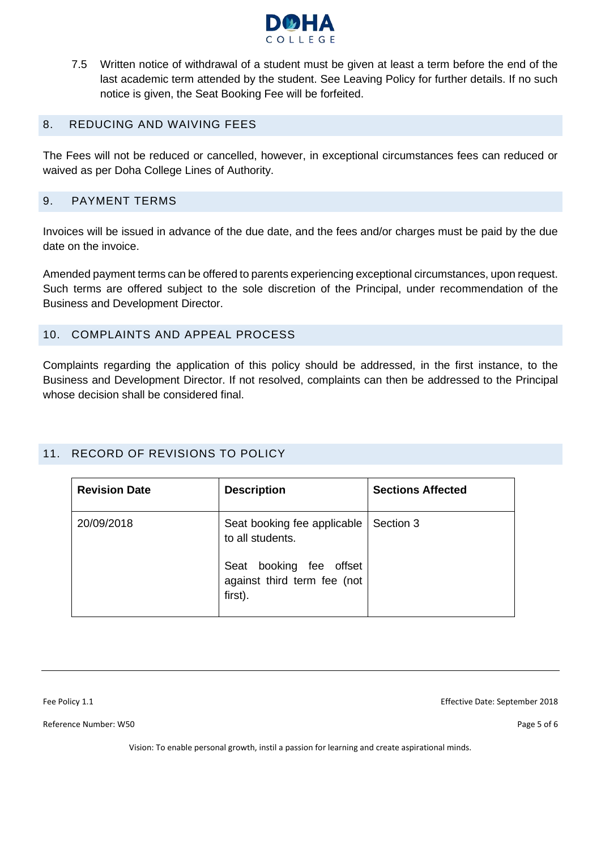

7.5 Written notice of withdrawal of a student must be given at least a term before the end of the last academic term attended by the student. See Leaving Policy for further details. If no such notice is given, the Seat Booking Fee will be forfeited.

#### <span id="page-4-0"></span>8. REDUCING AND WAIVING FEES

The Fees will not be reduced or cancelled, however, in exceptional circumstances fees can reduced or waived as per Doha College Lines of Authority.

#### <span id="page-4-1"></span>9. PAYMENT TERMS

Invoices will be issued in advance of the due date, and the fees and/or charges must be paid by the due date on the invoice.

Amended payment terms can be offered to parents experiencing exceptional circumstances, upon request. Such terms are offered subject to the sole discretion of the Principal, under recommendation of the Business and Development Director.

#### <span id="page-4-2"></span>10. COMPLAINTS AND APPEAL PROCESS

Complaints regarding the application of this policy should be addressed, in the first instance, to the Business and Development Director. If not resolved, complaints can then be addressed to the Principal whose decision shall be considered final.

#### <span id="page-4-3"></span>11. RECORD OF REVISIONS TO POLICY

| <b>Revision Date</b> | <b>Description</b>                                                                                                      | <b>Sections Affected</b> |
|----------------------|-------------------------------------------------------------------------------------------------------------------------|--------------------------|
| 20/09/2018           | Seat booking fee applicable<br>to all students.<br>booking fee offset<br>Seat<br>against third term fee (not<br>first). | Section 3                |

Reference Number: W50 Page 5 of 6

Fee Policy 1.1 Effective Date: September 2018